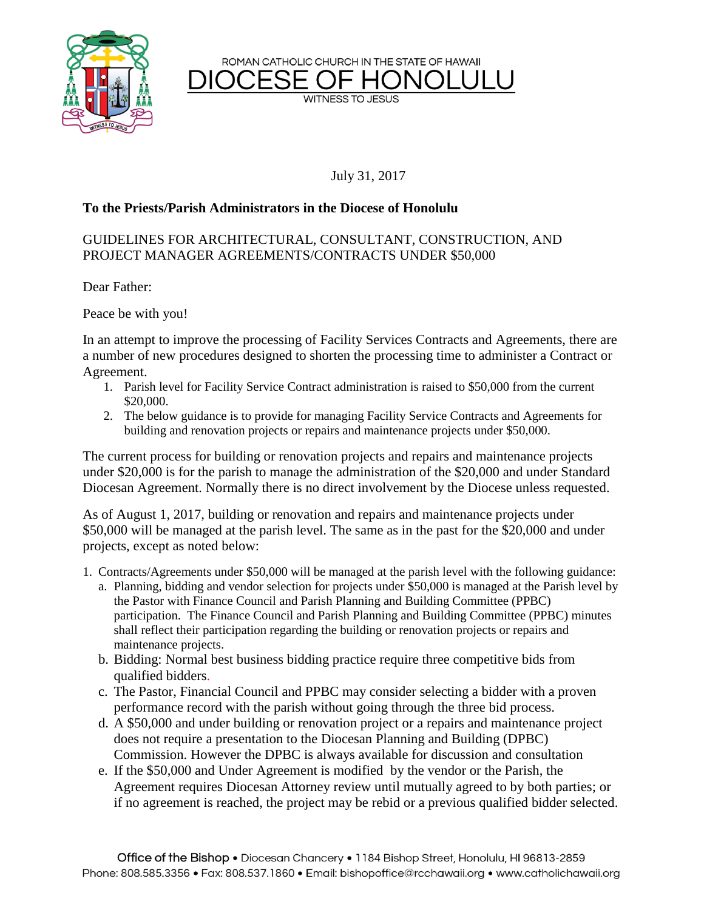

**WITNESS TO JESUS** 



July 31, 2017

## **To the Priests/Parish Administrators in the Diocese of Honolulu**

## GUIDELINES FOR ARCHITECTURAL, CONSULTANT, CONSTRUCTION, AND PROJECT MANAGER AGREEMENTS/CONTRACTS UNDER \$50,000

Dear Father:

Peace be with you!

In an attempt to improve the processing of Facility Services Contracts and Agreements, there are a number of new procedures designed to shorten the processing time to administer a Contract or Agreement.

- 1. Parish level for Facility Service Contract administration is raised to \$50,000 from the current \$20,000.
- 2. The below guidance is to provide for managing Facility Service Contracts and Agreements for building and renovation projects or repairs and maintenance projects under \$50,000.

The current process for building or renovation projects and repairs and maintenance projects under \$20,000 is for the parish to manage the administration of the \$20,000 and under Standard Diocesan Agreement. Normally there is no direct involvement by the Diocese unless requested.

As of August 1, 2017, building or renovation and repairs and maintenance projects under \$50,000 will be managed at the parish level. The same as in the past for the \$20,000 and under projects, except as noted below:

- 1. Contracts/Agreements under \$50,000 will be managed at the parish level with the following guidance:
	- a. Planning, bidding and vendor selection for projects under \$50,000 is managed at the Parish level by the Pastor with Finance Council and Parish Planning and Building Committee (PPBC) participation. The Finance Council and Parish Planning and Building Committee (PPBC) minutes shall reflect their participation regarding the building or renovation projects or repairs and maintenance projects.
	- b. Bidding: Normal best business bidding practice require three competitive bids from qualified bidders.
	- c. The Pastor, Financial Council and PPBC may consider selecting a bidder with a proven performance record with the parish without going through the three bid process.
	- d. A \$50,000 and under building or renovation project or a repairs and maintenance project does not require a presentation to the Diocesan Planning and Building (DPBC) Commission. However the DPBC is always available for discussion and consultation
	- e. If the \$50,000 and Under Agreement is modified by the vendor or the Parish, the Agreement requires Diocesan Attorney review until mutually agreed to by both parties; or if no agreement is reached, the project may be rebid or a previous qualified bidder selected.